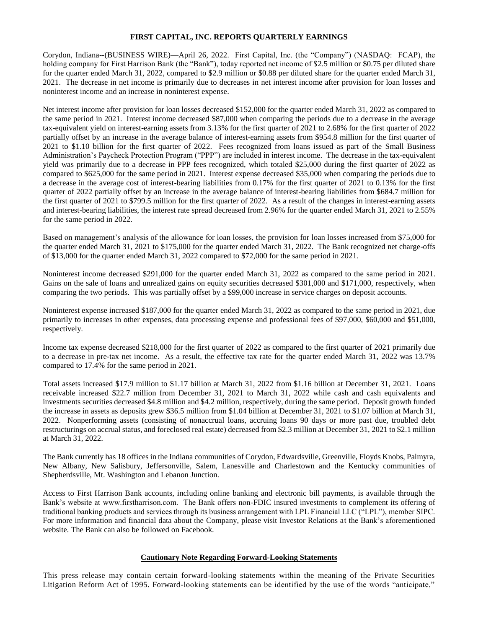## **FIRST CAPITAL, INC. REPORTS QUARTERLY EARNINGS**

Corydon, Indiana--(BUSINESS WIRE)—April 26, 2022. First Capital, Inc. (the "Company") (NASDAQ: FCAP), the holding company for First Harrison Bank (the "Bank"), today reported net income of \$2.5 million or \$0.75 per diluted share for the quarter ended March 31, 2022, compared to \$2.9 million or \$0.88 per diluted share for the quarter ended March 31, 2021. The decrease in net income is primarily due to decreases in net interest income after provision for loan losses and noninterest income and an increase in noninterest expense.

Net interest income after provision for loan losses decreased \$152,000 for the quarter ended March 31, 2022 as compared to the same period in 2021. Interest income decreased \$87,000 when comparing the periods due to a decrease in the average tax-equivalent yield on interest-earning assets from 3.13% for the first quarter of 2021 to 2.68% for the first quarter of 2022 partially offset by an increase in the average balance of interest-earning assets from \$954.8 million for the first quarter of 2021 to \$1.10 billion for the first quarter of 2022. Fees recognized from loans issued as part of the Small Business Administration's Paycheck Protection Program ("PPP") are included in interest income. The decrease in the tax-equivalent yield was primarily due to a decrease in PPP fees recognized, which totaled \$25,000 during the first quarter of 2022 as compared to \$625,000 for the same period in 2021. Interest expense decreased \$35,000 when comparing the periods due to a decrease in the average cost of interest-bearing liabilities from 0.17% for the first quarter of 2021 to 0.13% for the first quarter of 2022 partially offset by an increase in the average balance of interest-bearing liabilities from \$684.7 million for the first quarter of 2021 to \$799.5 million for the first quarter of 2022. As a result of the changes in interest-earning assets and interest-bearing liabilities, the interest rate spread decreased from 2.96% for the quarter ended March 31, 2021 to 2.55% for the same period in 2022.

Based on management's analysis of the allowance for loan losses, the provision for loan losses increased from \$75,000 for the quarter ended March 31, 2021 to \$175,000 for the quarter ended March 31, 2022. The Bank recognized net charge-offs of \$13,000 for the quarter ended March 31, 2022 compared to \$72,000 for the same period in 2021.

Noninterest income decreased \$291,000 for the quarter ended March 31, 2022 as compared to the same period in 2021. Gains on the sale of loans and unrealized gains on equity securities decreased \$301,000 and \$171,000, respectively, when comparing the two periods. This was partially offset by a \$99,000 increase in service charges on deposit accounts.

Noninterest expense increased \$187,000 for the quarter ended March 31, 2022 as compared to the same period in 2021, due primarily to increases in other expenses, data processing expense and professional fees of \$97,000, \$60,000 and \$51,000, respectively.

Income tax expense decreased \$218,000 for the first quarter of 2022 as compared to the first quarter of 2021 primarily due to a decrease in pre-tax net income. As a result, the effective tax rate for the quarter ended March 31, 2022 was 13.7% compared to 17.4% for the same period in 2021.

Total assets increased \$17.9 million to \$1.17 billion at March 31, 2022 from \$1.16 billion at December 31, 2021. Loans receivable increased \$22.7 million from December 31, 2021 to March 31, 2022 while cash and cash equivalents and investments securities decreased \$4.8 million and \$4.2 million, respectively, during the same period. Deposit growth funded the increase in assets as deposits grew \$36.5 million from \$1.04 billion at December 31, 2021 to \$1.07 billion at March 31, 2022. Nonperforming assets (consisting of nonaccrual loans, accruing loans 90 days or more past due, troubled debt restructurings on accrual status, and foreclosed real estate) decreased from \$2.3 million at December 31, 2021 to \$2.1 million at March 31, 2022.

The Bank currently has 18 offices in the Indiana communities of Corydon, Edwardsville, Greenville, Floyds Knobs, Palmyra, New Albany, New Salisbury, Jeffersonville, Salem, Lanesville and Charlestown and the Kentucky communities of Shepherdsville, Mt. Washington and Lebanon Junction.

Access to First Harrison Bank accounts, including online banking and electronic bill payments, is available through the Bank's website at www.firstharrison.com. The Bank offers non-FDIC insured investments to complement its offering of traditional banking products and services through its business arrangement with LPL Financial LLC ("LPL"), member SIPC. For more information and financial data about the Company, please visit Investor Relations at the Bank's aforementioned website. The Bank can also be followed on Facebook.

## **Cautionary Note Regarding Forward-Looking Statements**

This press release may contain certain forward-looking statements within the meaning of the Private Securities Litigation Reform Act of 1995. Forward-looking statements can be identified by the use of the words "anticipate,"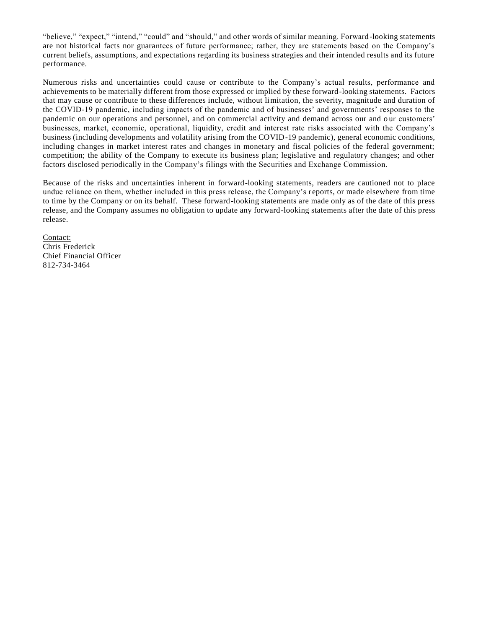"believe," "expect," "intend," "could" and "should," and other words of similar meaning. Forward -looking statements are not historical facts nor guarantees of future performance; rather, they are statements based on the Company's current beliefs, assumptions, and expectations regarding its business strategies and their intended results and its future performance.

Numerous risks and uncertainties could cause or contribute to the Company's actual results, performance and achievements to be materially different from those expressed or implied by these forward-looking statements. Factors that may cause or contribute to these differences include, without limitation, the severity, magnitude and duration of the COVID-19 pandemic, including impacts of the pandemic and of businesses' and governments' responses to the pandemic on our operations and personnel, and on commercial activity and demand across our and our customers' businesses, market, economic, operational, liquidity, credit and interest rate risks associated with the Company's business (including developments and volatility arising from the COVID-19 pandemic), general economic conditions, including changes in market interest rates and changes in monetary and fiscal policies of the federal government; competition; the ability of the Company to execute its business plan; legislative and regulatory changes; and other factors disclosed periodically in the Company's filings with the Securities and Exchange Commission.

Because of the risks and uncertainties inherent in forward-looking statements, readers are cautioned not to place undue reliance on them, whether included in this press release, the Company's r eports, or made elsewhere from time to time by the Company or on its behalf. These forward-looking statements are made only as of the date of this press release, and the Company assumes no obligation to update any forward-looking statements after the date of this press release.

Contact: Chris Frederick Chief Financial Officer 812-734-3464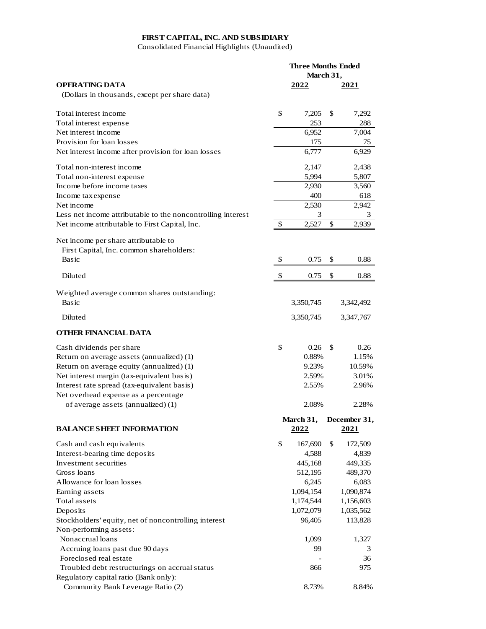## **FIRST CAPITAL, INC. AND SUBSIDIARY**

Consolidated Financial Highlights (Unaudited)

|                                                             | <b>Three Months Ended</b><br>March 31. |           |    |              |
|-------------------------------------------------------------|----------------------------------------|-----------|----|--------------|
| <b>OPERATING DATA</b>                                       |                                        | 2022      |    | 2021         |
| (Dollars in thousands, except per share data)               |                                        |           |    |              |
|                                                             |                                        |           |    |              |
| Total interest income                                       | \$                                     | 7,205     | \$ | 7,292        |
| Total interest expense                                      |                                        | 253       |    | 288          |
| Net interest income                                         |                                        | 6,952     |    | 7,004        |
| Provision for loan losses                                   |                                        | 175       |    | 75           |
| Net interest income after provision for loan losses         |                                        | 6,777     |    | 6,929        |
| Total non-interest income                                   |                                        | 2,147     |    | 2,438        |
|                                                             |                                        | 5,994     |    |              |
| Total non-interest expense<br>Income before income taxes    |                                        | 2,930     |    | 5,807        |
|                                                             |                                        | 400       |    | 3,560<br>618 |
| Income tax expense<br>Net income                            |                                        |           |    |              |
|                                                             |                                        | 2,530     |    | 2,942        |
| Less net income attributable to the noncontrolling interest |                                        | 3         |    | 3            |
| Net income attributable to First Capital, Inc.              | \$                                     | 2,527     | \$ | 2,939        |
| Net income per share attributable to                        |                                        |           |    |              |
| First Capital, Inc. common shareholders:                    |                                        |           |    |              |
| Basic                                                       | \$                                     | 0.75      | \$ | 0.88         |
|                                                             |                                        |           |    |              |
| Diluted                                                     | $\boldsymbol{\mathsf{S}}$              | 0.75      | \$ | 0.88         |
|                                                             |                                        |           |    |              |
| Weighted average common shares outstanding:<br>Basic        |                                        |           |    |              |
|                                                             |                                        | 3,350,745 |    | 3,342,492    |
| Diluted                                                     |                                        | 3,350,745 |    | 3,347,767    |
| OTHER FINANCIAL DATA                                        |                                        |           |    |              |
| Cash dividends per share                                    | \$                                     | 0.26      | \$ | 0.26         |
| Return on average assets (annualized) (1)                   |                                        | 0.88%     |    | 1.15%        |
| Return on average equity (annualized) (1)                   |                                        | 9.23%     |    | 10.59%       |
| Net interest margin (tax-equivalent basis)                  |                                        | 2.59%     |    | 3.01%        |
| Interest rate spread (tax-equivalent basis)                 |                                        | 2.55%     |    | 2.96%        |
| Net overhead expense as a percentage                        |                                        |           |    |              |
| of average assets (annualized) (1)                          |                                        | 2.08%     |    | 2.28%        |
|                                                             |                                        |           |    |              |
|                                                             |                                        | March 31, |    | December 31, |
| <b>BALANCE SHEET INFORMATION</b>                            |                                        | 2022      |    | 2021         |
| Cash and cash equivalents                                   | \$                                     | 167,690   | \$ | 172,509      |
| Interest-bearing time deposits                              |                                        | 4,588     |    | 4,839        |
| Investment securities                                       |                                        | 445,168   |    | 449,335      |
| Gross loans                                                 |                                        | 512,195   |    | 489,370      |
| Allowance for loan losses                                   |                                        | 6,245     |    | 6,083        |
| Earning assets                                              |                                        | 1,094,154 |    | 1,090,874    |
| Total assets                                                |                                        | 1,174,544 |    | 1,156,603    |
| Deposits                                                    |                                        | 1,072,079 |    | 1,035,562    |
| Stockholders' equity, net of noncontrolling interest        |                                        | 96,405    |    | 113,828      |
| Non-performing assets:                                      |                                        |           |    |              |
| Nonaccrual loans                                            |                                        | 1,099     |    | 1,327        |
| Accruing loans past due 90 days                             |                                        | 99        |    | 3            |
| Foreclosed real estate                                      |                                        |           |    | 36           |
| Troubled debt restructurings on accrual status              |                                        | 866       |    | 975          |
| Regulatory capital ratio (Bank only):                       |                                        |           |    |              |
| Community Bank Leverage Ratio (2)                           |                                        | 8.73%     |    | 8.84%        |
|                                                             |                                        |           |    |              |